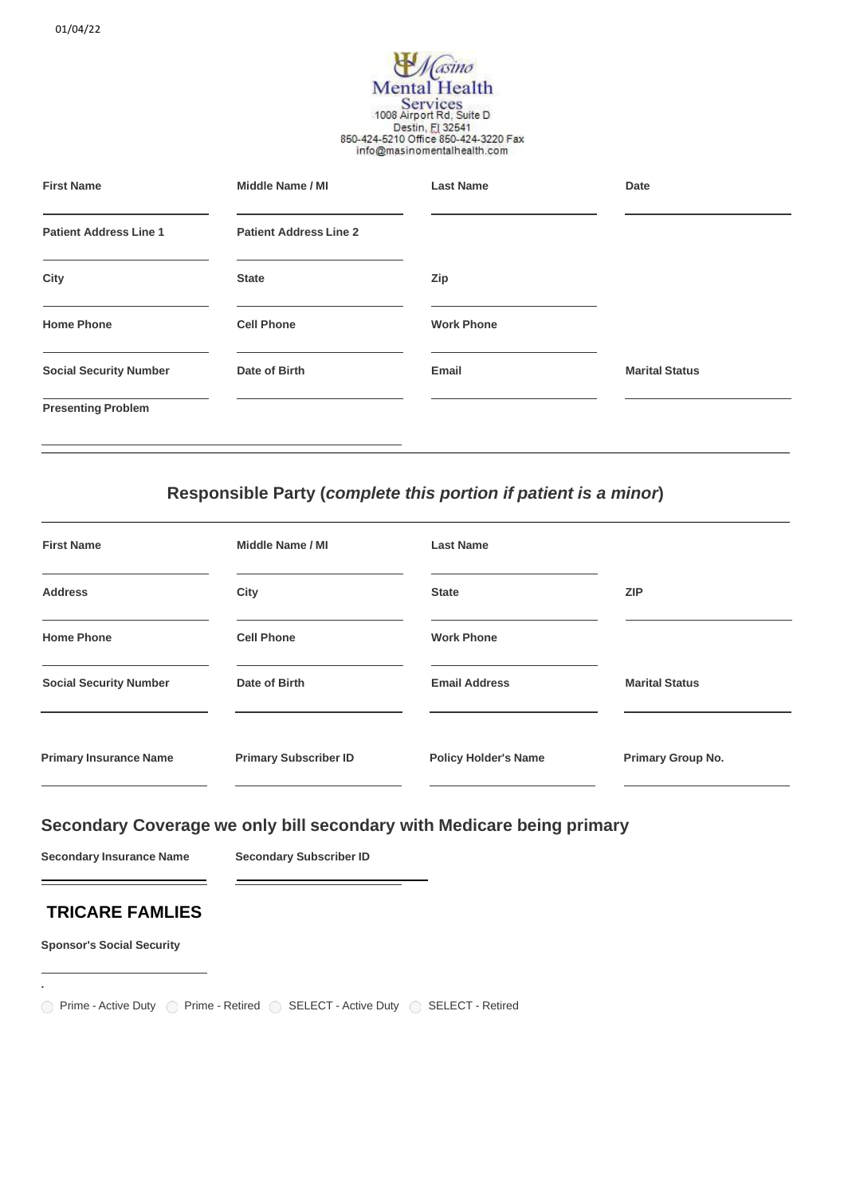# *Masino* **Mental Health** Services<br>1008 Airport Rd, Suite D Destin, El 32541<br>850-424-5210 Office 850-424-3220 Fax info@masinomentalhealth.com

| <b>First Name</b>             | Middle Name / MI              | <b>Last Name</b>  | Date                  |
|-------------------------------|-------------------------------|-------------------|-----------------------|
| <b>Patient Address Line 1</b> | <b>Patient Address Line 2</b> |                   |                       |
| City                          | <b>State</b>                  | Zip               |                       |
| <b>Home Phone</b>             | <b>Cell Phone</b>             | <b>Work Phone</b> |                       |
| <b>Social Security Number</b> | Date of Birth                 | Email             | <b>Marital Status</b> |
| <b>Presenting Problem</b>     |                               |                   |                       |

# **Responsible Party (***complete this portion if patient is a minor***)**

| <b>First Name</b>             | Middle Name / MI             | <b>Last Name</b>            |                          |
|-------------------------------|------------------------------|-----------------------------|--------------------------|
| <b>Address</b>                | City                         | <b>State</b>                | <b>ZIP</b>               |
| <b>Home Phone</b>             | <b>Cell Phone</b>            | <b>Work Phone</b>           |                          |
| <b>Social Security Number</b> | Date of Birth                | <b>Email Address</b>        | <b>Marital Status</b>    |
| <b>Primary Insurance Name</b> | <b>Primary Subscriber ID</b> | <b>Policy Holder's Name</b> | <b>Primary Group No.</b> |

# **Secondary Coverage we only bill secondary with Medicare being primary**

**Secondary Insurance Name Secondary Subscriber ID**

# **TRICARE FAMLIES**

**Sponsor's Social Security**

**.**

◯ Prime - Active Duty ◯ Prime - Retired ◯ SELECT - Active Duty ◯ SELECT - Retired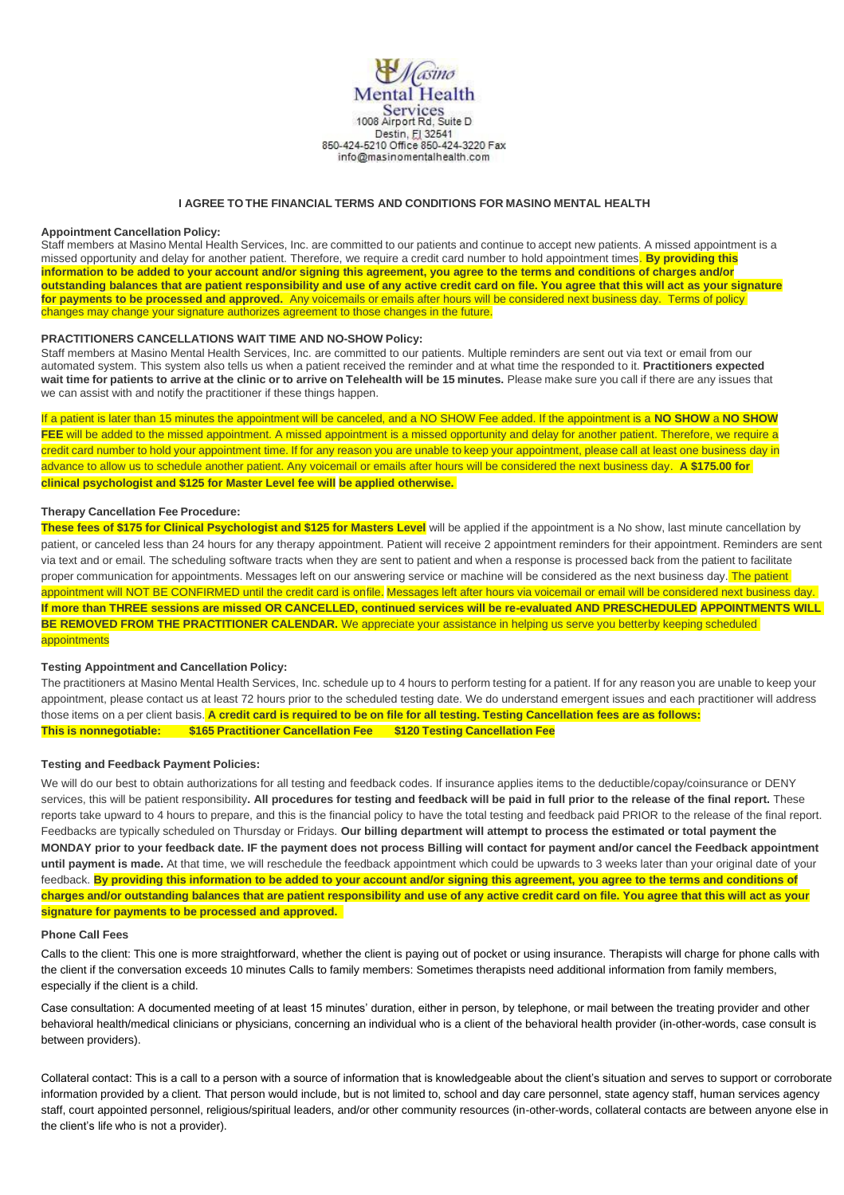

## **I AGREE TO THE FINANCIAL TERMS AND CONDITIONS FOR MASINO MENTAL HEALTH**

### **Appointment Cancellation Policy:**

Staff members at Masino Mental Health Services, Inc. are committed to our patients and continue to accept new patients. A missed appointment is a missed opportunity and delay for another patient. Therefore, we require a credit card number to hold appointment times. **By providing this information to be added to your account and/or signing this agreement, you agree to the terms and conditions of charges and/or outstanding balances that are patient responsibility and use of any active credit card on file. You agree that this will act as your signature for payments to be processed and approved.** Any voicemails or emails after hours will be considered next business day. Terms of policy changes may change your signature authorizes agreement to those changes in the future.

### **PRACTITIONERS CANCELLATIONS WAIT TIME AND NO-SHOW Policy:**

Staff members at Masino Mental Health Services, Inc. are committed to our patients. Multiple reminders are sent out via text or email from our automated system. This system also tells us when a patient received the reminder and at what time the responded to it. **Practitioners expected** wait time for patients to arrive at the clinic or to arrive on Telehealth will be 15 minutes. Please make sure you call if there are any issues that we can assist with and notify the practitioner if these things happen.

If a patient is later than 15 minutes the appointment will be canceled, and a NO SHOW Fee added. If the appointment is a **NO SHOW** a **NO SHOW FEE** will be added to the missed appointment. A missed appointment is a missed opportunity and delay for another patient. Therefore, we require a credit card number to hold your appointment time. If for any reason you are unable to keep your appointment, please call at least one business day in advance to allow us to schedule another patient. Any voicemail or emails after hours will be considered the next business day. **A \$175.00 for clinical psychologist and \$125 for Master Level fee will be applied otherwise.**

### **Therapy Cancellation Fee Procedure:**

**These fees of \$175 for Clinical Psychologist and \$125 for Masters Level** will be applied if the appointment is a No show, last minute cancellation by patient, or canceled less than 24 hours for any therapy appointment. Patient will receive 2 appointment reminders for their appointment. Reminders are sent via text and or email. The scheduling software tracts when they are sent to patient and when a response is processed back from the patient to facilitate proper communication for appointments. Messages left on our answering service or machine will be considered as the next business day. The patient appointment will NOT BE CONFIRMED until the credit card is onfile. Messages left after hours via voicemail or email will be considered next business day. **If more than THREE sessions are missed OR CANCELLED, continued services will be re-evaluated AND PRESCHEDULED APPOINTMENTS WILL BE REMOVED FROM THE PRACTITIONER CALENDAR.** We appreciate your assistance in helping us serve you betterby keeping scheduled appointments

### **Testing Appointment and Cancellation Policy:**

The practitioners at Masino Mental Health Services, Inc. schedule up to 4 hours to perform testing for a patient. If for any reason you are unable to keep your appointment, please contact us at least 72 hours prior to the scheduled testing date. We do understand emergent issues and each practitioner will address those items on a per client basis. A credit card is required to be on file for all testing. Testing Cancellation fees are as follows: **This is nonnegotiable: \$165 Practitioner Cancellation Fee \$120 Testing Cancellation Fee**

#### **Testing and Feedback Payment Policies:**

We will do our best to obtain authorizations for all testing and feedback codes. If insurance applies items to the deductible/copay/coinsurance or DENY services, this will be patient responsibility**. All procedures for testing and feedback will be paid in full prior to the release of the final report.** These reports take upward to 4 hours to prepare, and this is the financial policy to have the total testing and feedback paid PRIOR to the release of the final report. Feedbacks are typically scheduled on Thursday or Fridays. **Our billing department will attempt to process the estimated or total payment the MONDAY prior to your feedback date. IF the payment does not process Billing will contact for payment and/or cancel the Feedback appointment until payment is made.** At that time, we will reschedule the feedback appointment which could be upwards to 3 weeks later than your original date of your feedback. **By providing this information to be added to your account and/or signing this agreement, you agree to the terms and conditions of charges and/or outstanding balances that are patient responsibility and use of any active credit card on file. You agree that this will act as your signature for payments to be processed and approved.** 

#### **Phone Call Fees**

Calls to the client: This one is more straightforward, whether the client is paying out of pocket or using insurance. Therapists will charge for phone calls with the client if the conversation exceeds 10 minutes Calls to family members: Sometimes therapists need additional information from family members, especially if the client is a child.

Case consultation: A documented meeting of at least 15 minutes' duration, either in person, by telephone, or mail between the treating provider and other behavioral health/medical clinicians or physicians, concerning an individual who is a client of the behavioral health provider (in-other-words, case consult is between providers).

Collateral contact: This is a call to a person with a source of information that is knowledgeable about the client's situation and serves to support or corroborate information provided by a client. That person would include, but is not limited to, school and day care personnel, state agency staff, human services agency staff, court appointed personnel, religious/spiritual leaders, and/or other community resources (in-other-words, collateral contacts are between anyone else in the client's life who is not a provider).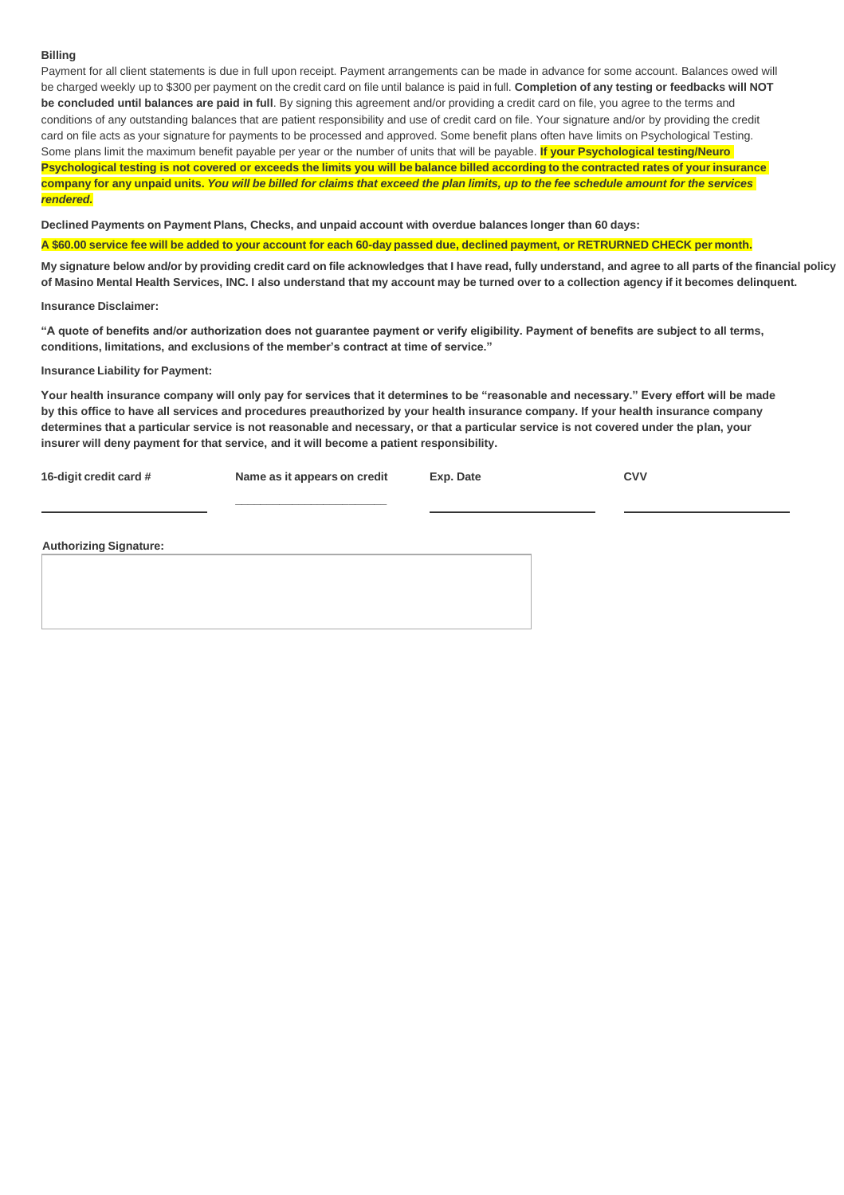# **Billing**

Payment for all client statements is due in full upon receipt. Payment arrangements can be made in advance for some account. Balances owed will be charged weekly up to \$300 per payment on the credit card on file until balance is paid in full. **Completion of any testing or feedbacks will NOT be concluded until balances are paid in full**. By signing this agreement and/or providing a credit card on file, you agree to the terms and conditions of any outstanding balances that are patient responsibility and use of credit card on file. Your signature and/or by providing the credit card on file acts as your signature for payments to be processed and approved. Some benefit plans often have limits on Psychological Testing. Some plans limit the maximum benefit payable per year or the number of units that will be payable. **If your Psychological testing/Neuro** Psychological testing is not covered or exceeds the limits you will be balance billed according to the contracted rates of your insurance company for any unpaid units. You will be billed for claims that exceed the plan limits, up to the fee schedule amount for the services *rendered.*

**Declined Payments on Payment Plans, Checks, and unpaid account with overdue balances longer than 60 days:**

A \$60.00 service fee will be added to your account for each 60-day passed due, declined payment, or RETRURNED CHECK per month.

My signature below and/or by providing credit card on file acknowledges that I have read, fully understand, and agree to all parts of the financial policy of Masino Mental Health Services, INC. I also understand that my account may be turned over to a collection agency if it becomes delinquent.

**Insurance Disclaimer:**

**"A quote of benefits and/or authorization does not guarantee payment or verify eligibility. Payment of benefits are subject to all terms, conditions, limitations, and exclusions of the member's contract at time of service."**

### **Insurance Liability for Payment:**

**Your health insurance company will only pay for services that it determines to be "reasonable and necessary." Every effort will be made by this office to have all services and procedures preauthorized by your health insurance company. If your health insurance company determines that a particular service is not reasonable and necessary, or that a particular service is not covered under the plan, your insurer will deny payment for that service, and it will become a patient responsibility.**

| 16-digit credit card # | Name as it appears on credit | Exp. Date | <b>CVV</b> |
|------------------------|------------------------------|-----------|------------|
|                        |                              |           |            |
|                        |                              |           |            |

**Authorizing Signature:**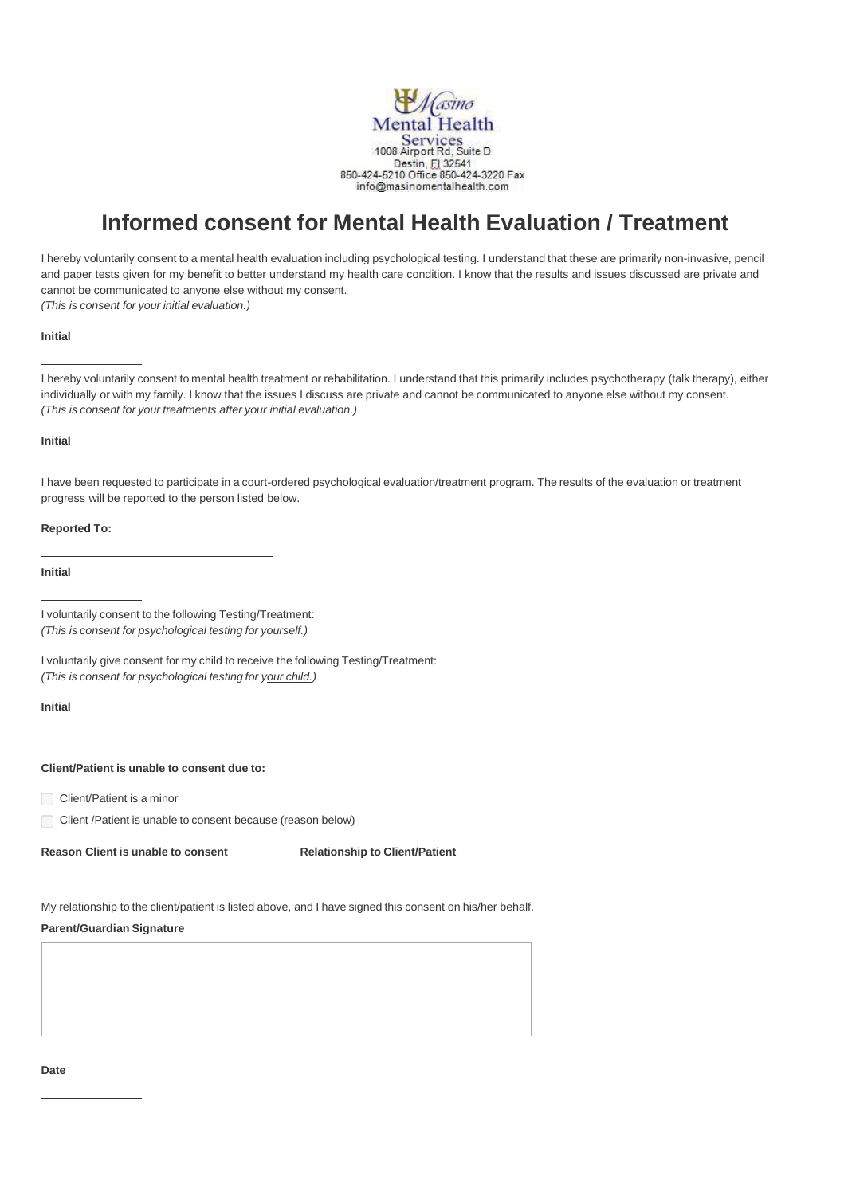

# **Informed consent for Mental Health Evaluation / Treatment**

I hereby voluntarily consent to a mental health evaluation including psychological testing. I understand that these are primarily non-invasive, pencil and paper tests given for my benefit to better understand my health care condition. I know that the results and issues discussed are private and cannot be communicated to anyone else without my consent. *(This is consent for your initial evaluation.)*

### **Initial**

I hereby voluntarily consent to mental health treatment or rehabilitation. I understand that this primarily includes psychotherapy (talk therapy), either individually or with my family. I know that the issues I discuss are private and cannot be communicated to anyone else without my consent. *(This is consent for your treatments after your initial evaluation.)*

### **Initial**

I have been requested to participate in a court-ordered psychological evaluation/treatment program. The results of the evaluation or treatment progress will be reported to the person listed below.

### **Reported To:**

**Initial**

I voluntarily consent to the following Testing/Treatment: *(This is consent for psychological testing for yourself.)*

I voluntarily give consent for my child to receive the following Testing/Treatment: *(This is consent for psychological testing for your child.)*

### **Initial**

# **Client/Patient is unable to consent due to:**

Client/Patient is a minor

Client /Patient is unable to consent because (reason below)

**Reason Client is unable to consent Relationship to Client/Patient**

My relationship to the client/patient is listed above, and I have signed this consent on his/her behalf.

# **Parent/Guardian Signature**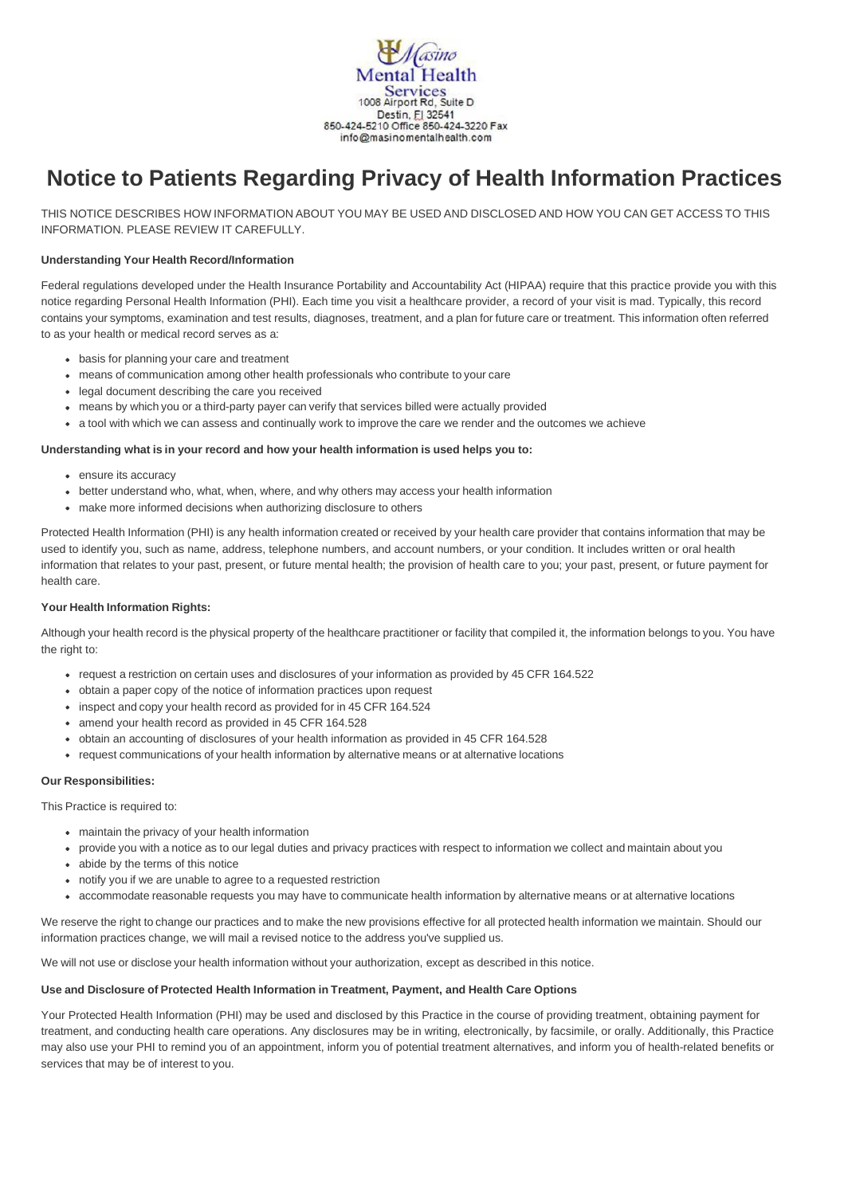

# **Notice to Patients Regarding Privacy of Health Information Practices**

THIS NOTICE DESCRIBES HOW INFORMATION ABOUT YOU MAY BE USED AND DISCLOSED AND HOW YOU CAN GET ACCESS TO THIS INFORMATION. PLEASE REVIEW IT CAREFULLY.

# **Understanding Your Health Record/Information**

Federal regulations developed under the Health Insurance Portability and Accountability Act (HIPAA) require that this practice provide you with this notice regarding Personal Health Information (PHI). Each time you visit a healthcare provider, a record of your visit is mad. Typically, this record contains your symptoms, examination and test results, diagnoses, treatment, and a plan for future care or treatment. This information often referred to as your health or medical record serves as a:

- basis for planning your care and treatment
- means of communication among other health professionals who contribute to your care
- legal document describing the care you received
- means by which you or a third-party payer can verify that services billed were actually provided
- a tool with which we can assess and continually work to improve the care we render and the outcomes we achieve

### **Understanding what is in your record and how your health information is used helps you to:**

- ensure its accuracy
- better understand who, what, when, where, and why others may access your health information
- make more informed decisions when authorizing disclosure to others

Protected Health Information (PHI) is any health information created or received by your health care provider that contains information that may be used to identify you, such as name, address, telephone numbers, and account numbers, or your condition. It includes written or oral health information that relates to your past, present, or future mental health; the provision of health care to you; your past, present, or future payment for health care.

# **Your Health Information Rights:**

Although your health record is the physical property of the healthcare practitioner or facility that compiled it, the information belongs to you. You have the right to:

- request a restriction on certain uses and disclosures of your information as provided by 45 CFR 164.522
- obtain a paper copy of the notice of information practices upon request
- inspect and copy your health record as provided for in 45 CFR 164.524
- amend your health record as provided in 45 CFR 164.528
- obtain an accounting of disclosures of your health information as provided in 45 CFR 164.528
- request communications of your health information by alternative means or at alternative locations

### **Our Responsibilities:**

This Practice is required to:

- maintain the privacy of your health information
- provide you with a notice as to our legal duties and privacy practices with respect to information we collect and maintain about you
- abide by the terms of this notice
- notify you if we are unable to agree to a requested restriction
- accommodate reasonable requests you may have to communicate health information by alternative means or at alternative locations

We reserve the right to change our practices and to make the new provisions effective for all protected health information we maintain. Should our information practices change, we will mail a revised notice to the address you've supplied us.

We will not use or disclose your health information without your authorization, except as described in this notice.

### **Use and Disclosure of Protected Health Information in Treatment, Payment, and Health Care Options**

Your Protected Health Information (PHI) may be used and disclosed by this Practice in the course of providing treatment, obtaining payment for treatment, and conducting health care operations. Any disclosures may be in writing, electronically, by facsimile, or orally. Additionally, this Practice may also use your PHI to remind you of an appointment, inform you of potential treatment alternatives, and inform you of health-related benefits or services that may be of interest to you.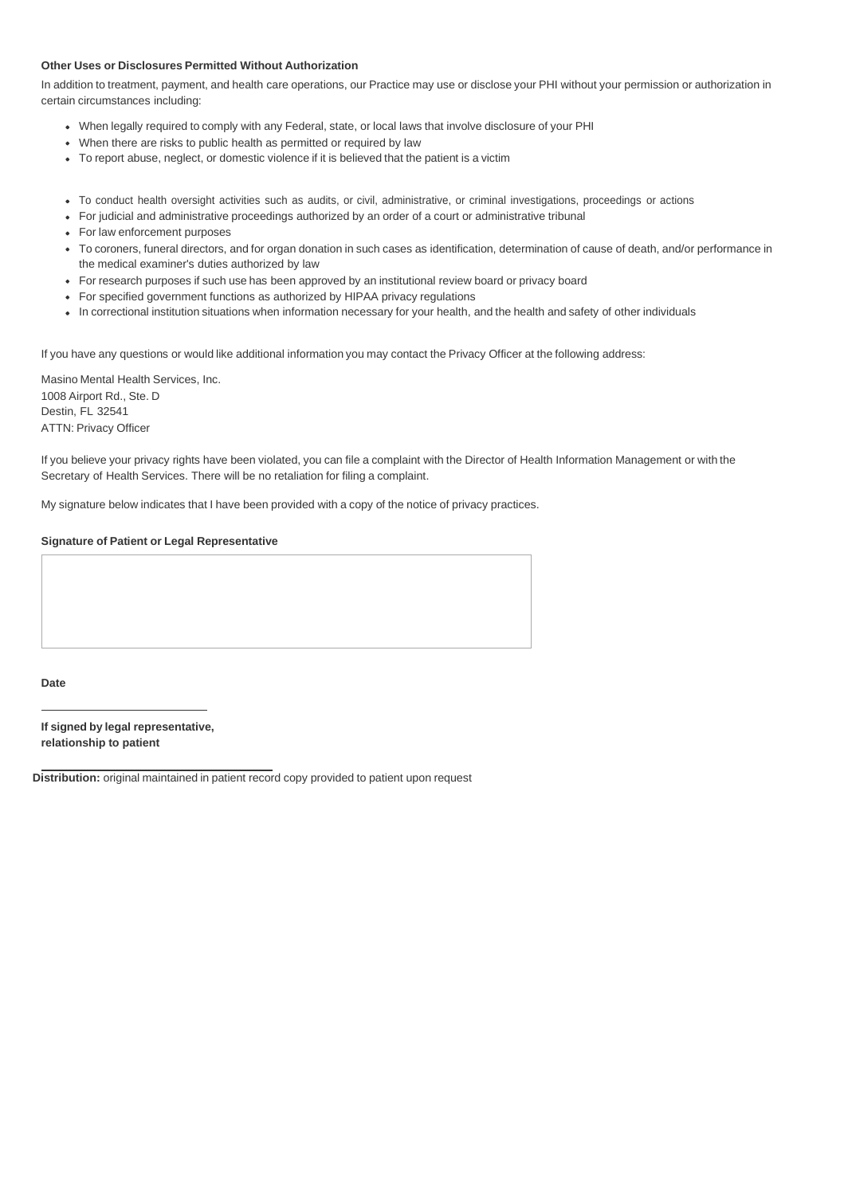### **Other Uses or Disclosures Permitted Without Authorization**

In addition to treatment, payment, and health care operations, our Practice may use or disclose your PHI without your permission or authorization in certain circumstances including:

- When legally required to comply with any Federal, state, or local laws that involve disclosure of your PHI
- When there are risks to public health as permitted or required by law
- To report abuse, neglect, or domestic violence if it is believed that the patient is a victim
- To conduct health oversight activities such as audits, or civil, administrative, or criminal investigations, proceedings or actions
- For judicial and administrative proceedings authorized by an order of a court or administrative tribunal
- For law enforcement purposes
- To coroners, funeral directors, and for organ donation in such cases as identification, determination of cause of death, and/or performance in the medical examiner's duties authorized by law
- For research purposes if such use has been approved by an institutional review board or privacy board
- For specified government functions as authorized by HIPAA privacy regulations
- In correctional institution situations when information necessary for your health, and the health and safety of other individuals

If you have any questions or would like additional information you may contact the Privacy Officer at the following address:

Masino Mental Health Services, Inc. 1008 Airport Rd., Ste. D Destin, FL 32541 ATTN: Privacy Officer

If you believe your privacy rights have been violated, you can file a complaint with the Director of Health Information Management or with the Secretary of Health Services. There will be no retaliation for filing a complaint.

My signature below indicates that I have been provided with a copy of the notice of privacy practices.

## **Signature of Patient or Legal Representative**

### **Date**

**If signed by legal representative, relationship to patient**

**Distribution:** original maintained in patient record copy provided to patient upon request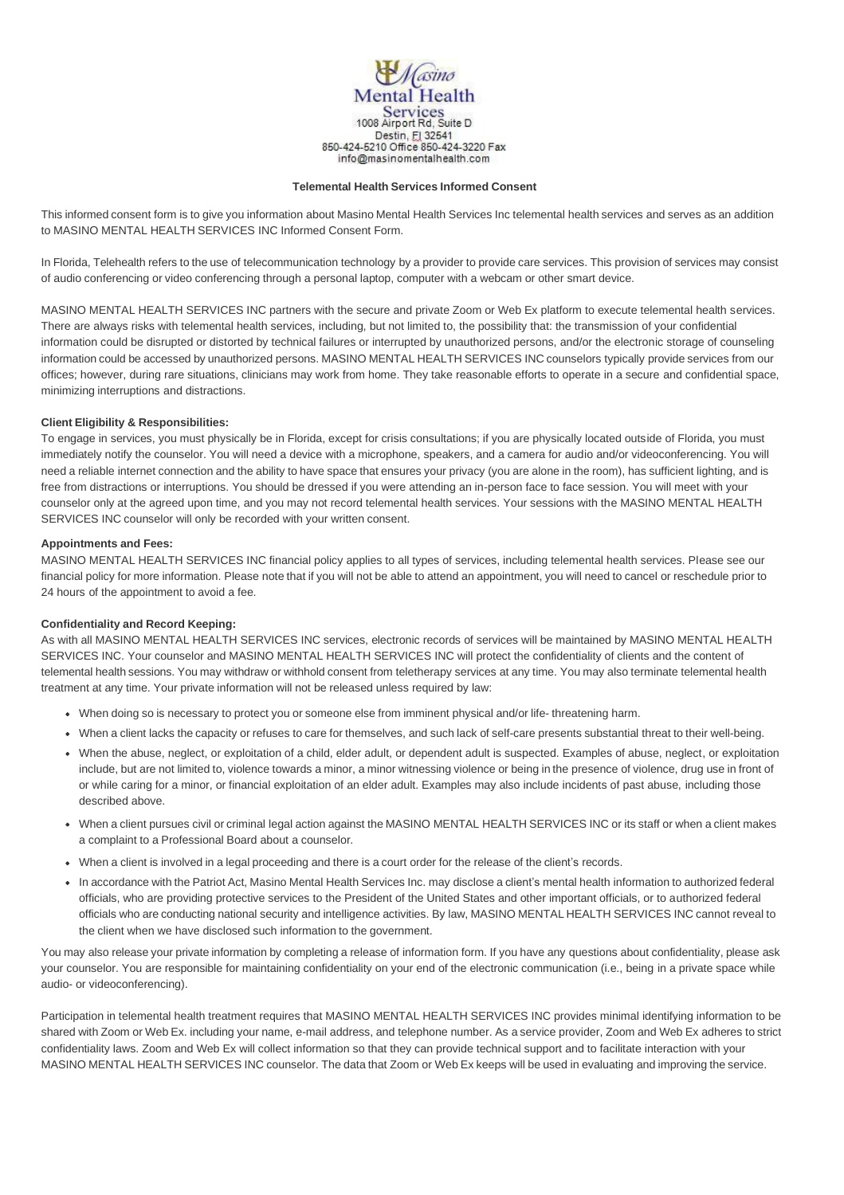

### **Telemental Health Services Informed Consent**

This informed consent form is to give you information about Masino Mental Health Services Inc telemental health services and serves as an addition to MASINO MENTAL HEALTH SERVICES INC Informed Consent Form.

In Florida, Telehealth refers to the use of telecommunication technology by a provider to provide care services. This provision of services may consist of audio conferencing or video conferencing through a personal laptop, computer with a webcam or other smart device.

MASINO MENTAL HEALTH SERVICES INC partners with the secure and private Zoom or Web Ex platform to execute telemental health services. There are always risks with telemental health services, including, but not limited to, the possibility that: the transmission of your confidential information could be disrupted or distorted by technical failures or interrupted by unauthorized persons, and/or the electronic storage of counseling information could be accessed by unauthorized persons. MASINO MENTAL HEALTH SERVICES INC counselors typically provide services from our offices; however, during rare situations, clinicians may work from home. They take reasonable efforts to operate in a secure and confidential space, minimizing interruptions and distractions.

### **Client Eligibility & Responsibilities:**

To engage in services, you must physically be in Florida, except for crisis consultations; if you are physically located outside of Florida, you must immediately notify the counselor. You will need a device with a microphone, speakers, and a camera for audio and/or videoconferencing. You will need a reliable internet connection and the ability to have space that ensures your privacy (you are alone in the room), has sufficient lighting, and is free from distractions or interruptions. You should be dressed if you were attending an in-person face to face session. You will meet with your counselor only at the agreed upon time, and you may not record telemental health services. Your sessions with the MASINO MENTAL HEALTH SERVICES INC counselor will only be recorded with your written consent.

### **Appointments and Fees:**

MASINO MENTAL HEALTH SERVICES INC financial policy applies to all types of services, including telemental health services. Please see our financial policy for more information. Please note that if you will not be able to attend an appointment, you will need to cancel or reschedule prior to 24 hours of the appointment to avoid a fee.

### **Confidentiality and Record Keeping:**

As with all MASINO MENTAL HEALTH SERVICES INC services, electronic records of services will be maintained by MASINO MENTAL HEALTH SERVICES INC. Your counselor and MASINO MENTAL HEALTH SERVICES INC will protect the confidentiality of clients and the content of telemental health sessions. You may withdraw or withhold consent from teletherapy services at any time. You may also terminate telemental health treatment at any time. Your private information will not be released unless required by law:

- When doing so is necessary to protect you or someone else from imminent physical and/or life- threatening harm.
- When a client lacks the capacity or refuses to care for themselves, and such lack of self-care presents substantial threat to their well-being.
- When the abuse, neglect, or exploitation of a child, elder adult, or dependent adult is suspected. Examples of abuse, neglect, or exploitation include, but are not limited to, violence towards a minor, a minor witnessing violence or being in the presence of violence, drug use in front of or while caring for a minor, or financial exploitation of an elder adult. Examples may also include incidents of past abuse, including those described above.
- When a client pursues civil or criminal legal action against the MASINO MENTAL HEALTH SERVICES INC or its staff or when a client makes a complaint to a Professional Board about a counselor.
- When a client is involved in a legal proceeding and there is a court order for the release of the client's records.
- In accordance with the Patriot Act, Masino Mental Health Services Inc. may disclose a client's mental health information to authorized federal officials, who are providing protective services to the President of the United States and other important officials, or to authorized federal officials who are conducting national security and intelligence activities. By law, MASINO MENTAL HEALTH SERVICES INC cannot reveal to the client when we have disclosed such information to the government.

You may also release your private information by completing a release of information form. If you have any questions about confidentiality, please ask your counselor. You are responsible for maintaining confidentiality on your end of the electronic communication (i.e., being in a private space while audio- or videoconferencing).

Participation in telemental health treatment requires that MASINO MENTAL HEALTH SERVICES INC provides minimal identifying information to be shared with Zoom or Web Ex. including your name, e-mail address, and telephone number. As a service provider, Zoom and Web Ex adheres to strict confidentiality laws. Zoom and Web Ex will collect information so that they can provide technical support and to facilitate interaction with your MASINO MENTAL HEALTH SERVICES INC counselor. The data that Zoom or Web Ex keeps will be used in evaluating and improving the service.